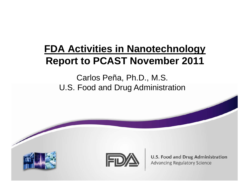## **FDA Activities in Nanotechnology Report to PCAST November 2011**

Carlos Peña, Ph.D., M.S. U.S. Food and Drug Administration



**U.S. Food and Drug Administration Advancing Regulatory Science**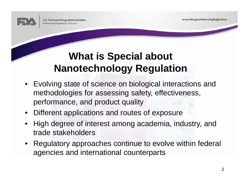www.fda.gov/AdvancingRegScience

## **What is Special about Nanotechnology Regulation**

- Evolving state of science on biological interactions and methodologies for assessing safety, effectiveness, performance, and product quality
- •Different applications and routes of exposure
- • High degree of interest among academia, industry, and trade stakeholders
- • Regulatory approaches continue to evolve within federal agencies and international counterparts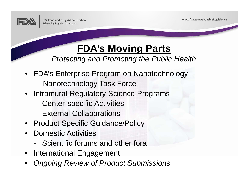

www.fda.gov/AdvancingRegScience

## **FDA's Moving Parts**

*Protecting and Promoting the Public Health*

- FDA's Enterprise Program on Nanotechnology
	- -Nanotechnology Task Force
- Intramural Regulatory Science Programs
	- -Center-specific Activities
	- External Collaborations
- Product Specific Guidance/Policy
- • Domestic Activities
	- Scientific forums and other fora
- International Engagement
- •*Ongoing Review of Product Submissions*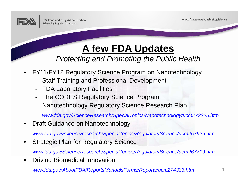

www.fda.gov/AdvancingRegScience

# **A few FDA Updates**

*Protecting and Promoting the Public Health*

- • FY11/FY12 Regulatory Science Program on Nanotechnology
	- -Staff Training and Professional Development
	- -FDA Laboratory Facilities
	- - The CORES Regulatory Science Program Nanotechnology Regulatory Science Research Plan

*www.fda.gov/ScienceResearch/SpecialTopics/Nanotechnology/ucm273325.htm*

 $\bullet$ Draft Guidance on Nanotechnology

*www.fda.gov/ScienceResearch/SpecialTopics/RegulatoryScience/ucm257926.htm*

•Strategic Plan for Regulatory Science

*www.fda.gov/ScienceResearch/SpecialTopics/RegulatoryScience/ucm267719.htm*

•Driving Biomedical Innovation

*www.fda.gov/AboutFDA/ReportsManualsForms/Reports/ucm274333.htm*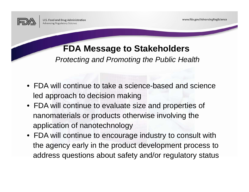

### **FDA Message to Stakeholders**

*Protecting and Promoting the Public Health*

- FDA will continue to take a science-based and science led approach to decision making
- FDA will continue to evaluate size and properties of nanomaterials or products otherwise involving the application of nanotechnology
- FDA will continue to encourage industry to consult with the agency early in the product development process to address questions about safety and/or regulatory status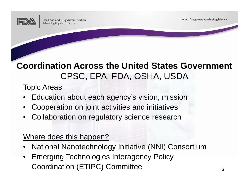

www.fda.gov/AdvancingRegScience

### **Coordination Across the United States Government** CPSC, EPA, FDA, OSHA, USDA

#### Topic Areas

- •Education about each agency's vision, mission
- •Cooperation on joint activities and initiatives
- Collaboration on regulatory science research

#### Where does this happen?

- •National Nanotechnology Initiative (NNI) Consortium
- • Emerging Technologies Interagency Policy Coordination (ETIPC) Committee